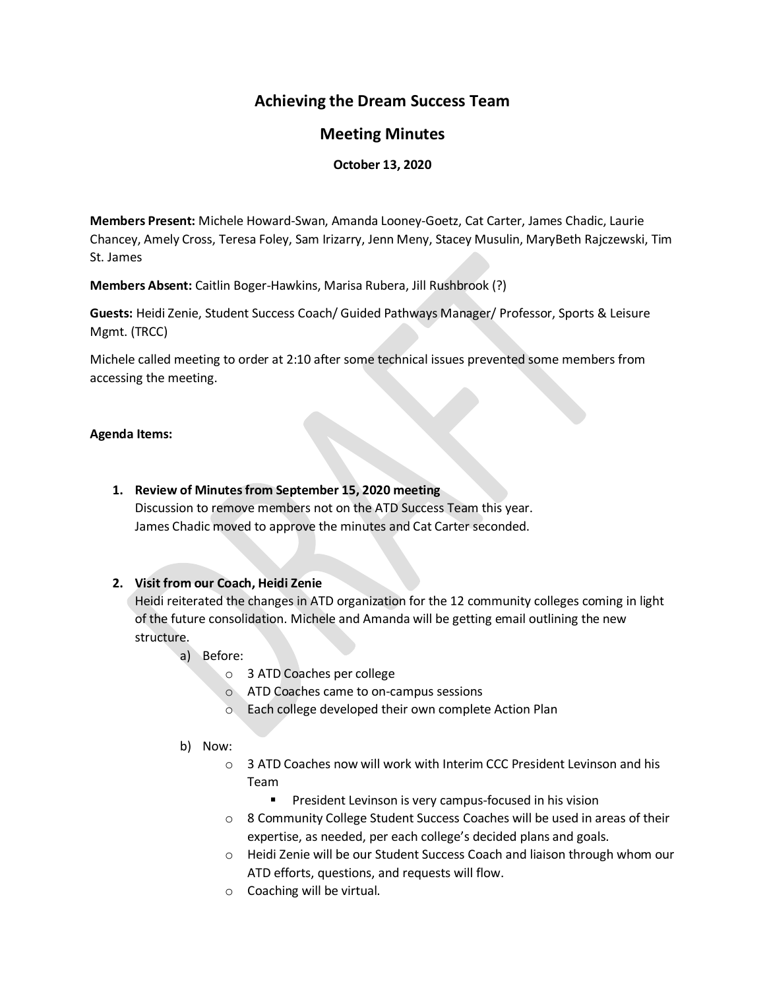# **Achieving the Dream Success Team**

## **Meeting Minutes**

### **October 13, 2020**

**Members Present:** Michele Howard-Swan, Amanda Looney-Goetz, Cat Carter, James Chadic, Laurie Chancey, Amely Cross, Teresa Foley, Sam Irizarry, Jenn Meny, Stacey Musulin, MaryBeth Rajczewski, Tim St. James

**Members Absent:** Caitlin Boger-Hawkins, Marisa Rubera, Jill Rushbrook (?)

**Guests:** Heidi Zenie, Student Success Coach/ Guided Pathways Manager/ Professor, Sports & Leisure Mgmt. (TRCC)

Michele called meeting to order at 2:10 after some technical issues prevented some members from accessing the meeting.

### **Agenda Items:**

**1. Review of Minutes from September 15, 2020 meeting**

Discussion to remove members not on the ATD Success Team this year. James Chadic moved to approve the minutes and Cat Carter seconded.

## **2. Visit from our Coach, Heidi Zenie**

Heidi reiterated the changes in ATD organization for the 12 community colleges coming in light of the future consolidation. Michele and Amanda will be getting email outlining the new structure.

- a) Before:
	- o 3 ATD Coaches per college
	- o ATD Coaches came to on-campus sessions
	- o Each college developed their own complete Action Plan
- b) Now:
	- o 3 ATD Coaches now will work with Interim CCC President Levinson and his Team
		- President Levinson is very campus-focused in his vision
	- o 8 Community College Student Success Coaches will be used in areas of their expertise, as needed, per each college's decided plans and goals.
	- o Heidi Zenie will be our Student Success Coach and liaison through whom our ATD efforts, questions, and requests will flow.
	- o Coaching will be virtual.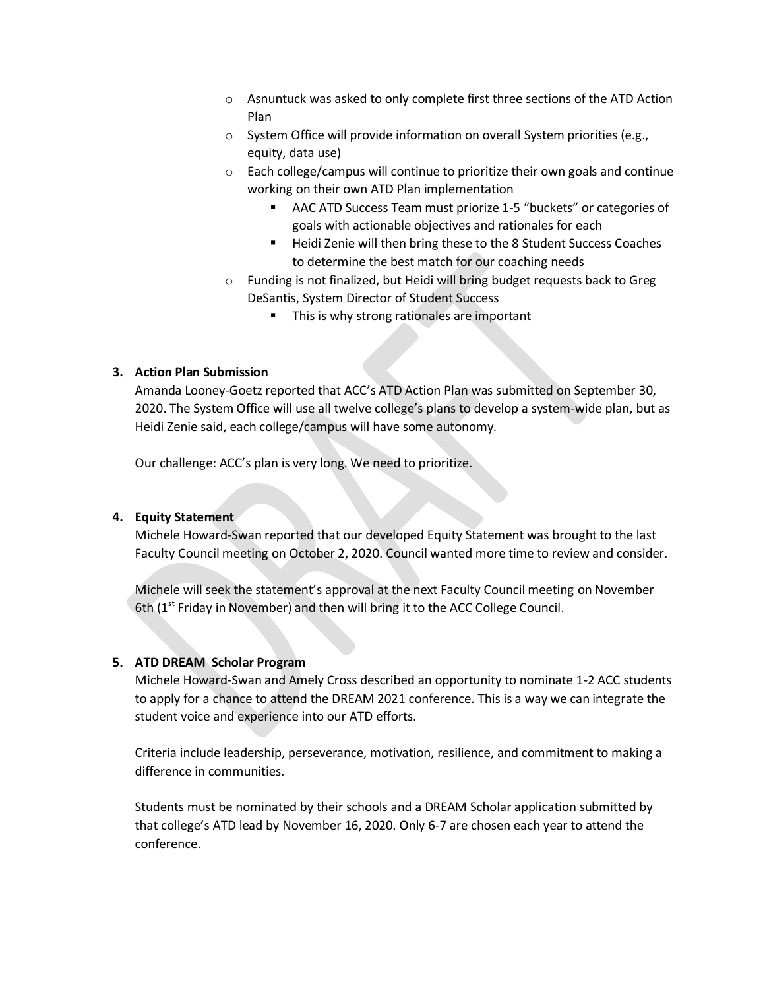- o Asnuntuck was asked to only complete first three sections of the ATD Action Plan
- o System Office will provide information on overall System priorities (e.g., equity, data use)
- o Each college/campus will continue to prioritize their own goals and continue working on their own ATD Plan implementation
	- AAC ATD Success Team must priorize 1-5 "buckets" or categories of goals with actionable objectives and rationales for each
	- Heidi Zenie will then bring these to the 8 Student Success Coaches to determine the best match for our coaching needs
- o Funding is not finalized, but Heidi will bring budget requests back to Greg DeSantis, System Director of Student Success
	- This is why strong rationales are important

### **3. Action Plan Submission**

Amanda Looney-Goetz reported that ACC's ATD Action Plan was submitted on September 30, 2020. The System Office will use all twelve college's plans to develop a system-wide plan, but as Heidi Zenie said, each college/campus will have some autonomy.

Our challenge: ACC's plan is very long. We need to prioritize.

#### **4. Equity Statement**

Michele Howard-Swan reported that our developed Equity Statement was brought to the last Faculty Council meeting on October 2, 2020. Council wanted more time to review and consider.

Michele will seek the statement's approval at the next Faculty Council meeting on November 6th  $(1<sup>st</sup> Friday in November)$  and then will bring it to the ACC College Council.

### **5. ATD DREAM Scholar Program**

Michele Howard-Swan and Amely Cross described an opportunity to nominate 1-2 ACC students to apply for a chance to attend the DREAM 2021 conference. This is a way we can integrate the student voice and experience into our ATD efforts.

Criteria include leadership, perseverance, motivation, resilience, and commitment to making a difference in communities.

Students must be nominated by their schools and a DREAM Scholar application submitted by that college's ATD lead by November 16, 2020. Only 6-7 are chosen each year to attend the conference.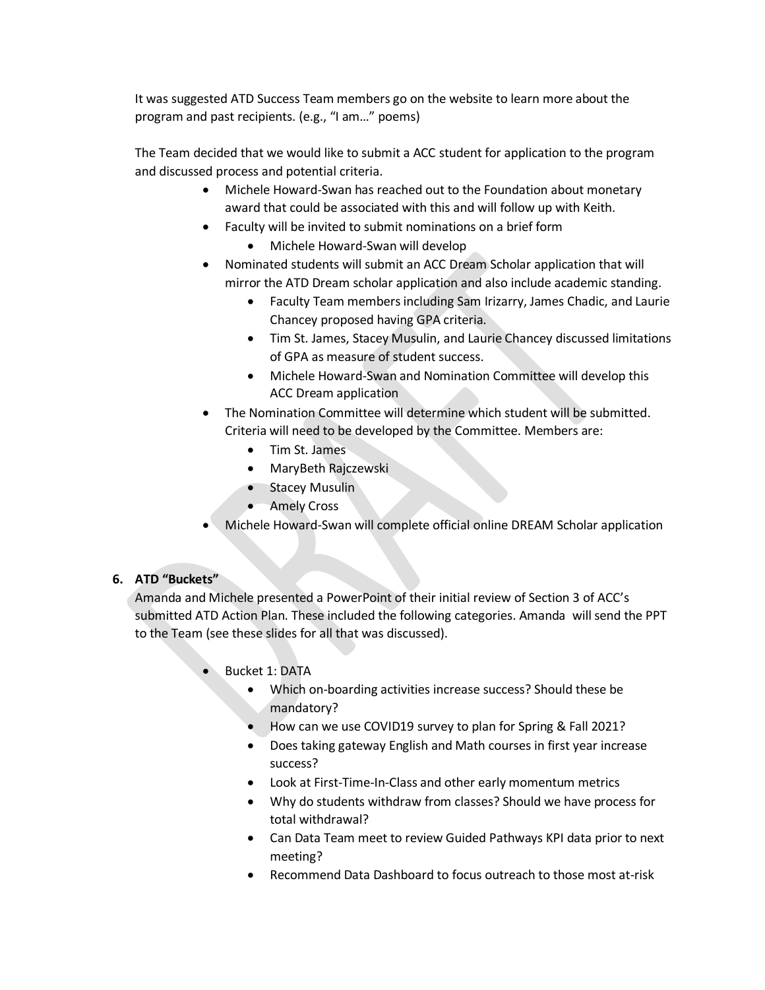It was suggested ATD Success Team members go on the website to learn more about the program and past recipients. (e.g., "I am…" poems)

The Team decided that we would like to submit a ACC student for application to the program and discussed process and potential criteria.

- Michele Howard-Swan has reached out to the Foundation about monetary award that could be associated with this and will follow up with Keith.
- Faculty will be invited to submit nominations on a brief form
	- Michele Howard-Swan will develop
- Nominated students will submit an ACC Dream Scholar application that will mirror the ATD Dream scholar application and also include academic standing.
	- Faculty Team members including Sam Irizarry, James Chadic, and Laurie Chancey proposed having GPA criteria.
	- Tim St. James, Stacey Musulin, and Laurie Chancey discussed limitations of GPA as measure of student success.
	- Michele Howard-Swan and Nomination Committee will develop this ACC Dream application
- The Nomination Committee will determine which student will be submitted. Criteria will need to be developed by the Committee. Members are:
	- Tim St. James
	- MaryBeth Rajczewski
	- Stacey Musulin
	- Amely Cross
- Michele Howard-Swan will complete official online DREAM Scholar application

## **6. ATD "Buckets"**

Amanda and Michele presented a PowerPoint of their initial review of Section 3 of ACC's submitted ATD Action Plan. These included the following categories. Amanda will send the PPT to the Team (see these slides for all that was discussed).

- Bucket 1: DATA
	- Which on-boarding activities increase success? Should these be mandatory?
	- How can we use COVID19 survey to plan for Spring & Fall 2021?
	- Does taking gateway English and Math courses in first year increase success?
	- Look at First-Time-In-Class and other early momentum metrics
	- Why do students withdraw from classes? Should we have process for total withdrawal?
	- Can Data Team meet to review Guided Pathways KPI data prior to next meeting?
	- Recommend Data Dashboard to focus outreach to those most at-risk